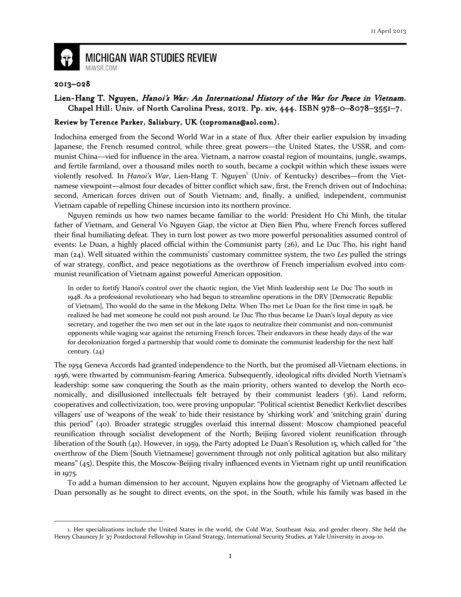

## **MICHIGAN WAR STUDIES REVIEW** MiWSR.COM

## 2013–028

 $\overline{\phantom{0}}$ 

## Lien-Hang T. Nguyen, Hanoi's War: An International History of the War for Peace in Vietnam. Chapel Hill: Univ. of North Carolina Press, 2012. Pp. xiv, 444. ISBN 978-0-8078-3551-7.

## Review by Terence Parker, Salisbury, UK (topromans@aol.com).

Indochina emerged from the Second World War in a state of flux. After their earlier expulsion by invading Japanese, the French resumed control, while three great powers—the United States, the USSR, and communist China—vied for influence in the area. Vietnam, a narrow coastal region of mountains, jungle, swamps, and fertile farmland, over a thousand miles north to south, became a cockpit within which these issues were violently resolved. In Hanoi's War, Lien-Hang T. Nguyen<sup>1</sup> (Univ. of Kentucky) describes—from the Vietnamese viewpoint—almost four decades of bitter conflict which saw, first, the French driven out of Indochina; second, American forces driven out of South Vietnam; and, finally, a unified, independent, communist Vietnam capable of repelling Chinese incursion into its northern province.

 Nguyen reminds us how two names became familiar to the world: President Ho Chi Minh, the titular father of Vietnam, and General Vo Nguyen Giap, the victor at Dien Bien Phu, where French forces suffered their final humiliating defeat. They in turn lost power as two more powerful personalities assumed control of events: Le Duan, a highly placed official within the Communist party (26), and Le Duc Tho, his right hand man  $(24)$ . Well situated within the communists' customary committee system, the two Les pulled the strings of war strategy, conflict, and peace negotiations as the overthrow of French imperialism evolved into communist reunification of Vietnam against powerful American opposition.

In order to fortify Hanoi's control over the chaotic region, the Viet Minh leadership sent Le Duc Tho south in 1948. As a professional revolutionary who had begun to streamline operations in the DRV [Democratic Republic of Vietnam], Tho would do the same in the Mekong Delta. When Tho met Le Duan for the first time in 1948, he realized he had met someone he could not push around. Le Duc Tho thus became Le Duan's loyal deputy as vice secretary, and together the two men set out in the late 1940s to neutralize their communist and non-communist opponents while waging war against the returning French forces. Their endeavors in these heady days of the war for decolonization forged a partnership that would come to dominate the communist leadership for the next half century.  $(24)$ 

The 1954 Geneva Accords had granted independence to the North, but the promised all-Vietnam elections, in 1956, were thwarted by communism-fearing America. Subsequently, ideological rifts divided North Vietnam's leadership: some saw conquering the South as the main priority, others wanted to develop the North economically, and disillusioned intellectuals felt betrayed by their communist leaders (36). Land reform, cooperatives and collectivization, too, were proving unpopular: "Political scientist Benedict Kerkvliet describes villagers' use of 'weapons of the weak' to hide their resistance by 'shirking work' and 'snitching grain' during this period" (40). Broader strategic struggles overlaid this internal dissent: Moscow championed peaceful reunification through socialist development of the North; Beijing favored violent reunification through liberation of the South (41). However, in 1959, the Party adopted Le Duan's Resolution 15, which called for "the overthrow of the Diem [South Vietnamese] government through not only political agitation but also military means" (45). Despite this, the Moscow-Beijing rivalry influenced events in Vietnam right up until reunification in 1975.

 To add a human dimension to her account, Nguyen explains how the geography of Vietnam affected Le Duan personally as he sought to direct events, on the spot, in the South, while his family was based in the

<sup>1.</sup> Her specializations include the United States in the world, the Cold War, Southeast Asia, and gender theory. She held the Henry Chauncey Jr '57 Postdoctoral Fellowship in Grand Strategy, International Security Studies, at Yale University in 2009–10.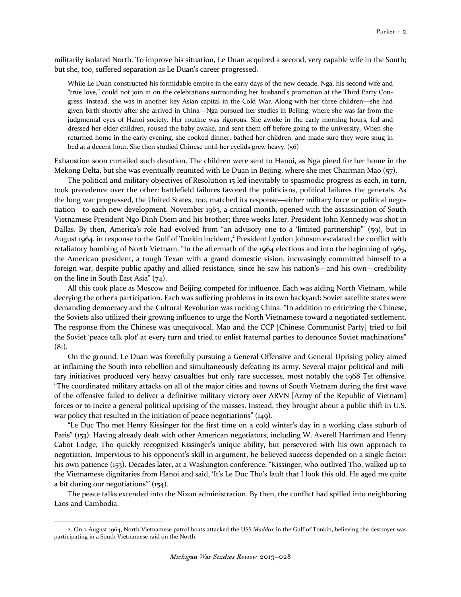militarily isolated North. To improve his situation, Le Duan acquired a second, very capable wife in the South; but she, too, suffered separation as Le Duan's career progressed.

While Le Duan constructed his formidable empire in the early days of the new decade, Nga, his second wife and "true love," could not join in on the celebrations surrounding her husband's promotion at the Third Party Congress. Instead, she was in another key Asian capital in the Cold War. Along with her three children—she had given birth shortly after she arrived in China—Nga pursued her studies in Beijing, where she was far from the judgmental eyes of Hanoi society. Her routine was rigorous. She awoke in the early morning hours, fed and dressed her elder children, roused the baby awake, and sent them off before going to the university. When she returned home in the early evening, she cooked dinner, bathed her children, and made sure they were snug in bed at a decent hour. She then studied Chinese until her eyelids grew heavy. (56)

Exhaustion soon curtailed such devotion. The children were sent to Hanoi, as Nga pined for her home in the Mekong Delta, but she was eventually reunited with Le Duan in Beijing, where she met Chairman Mao (57).

 The political and military objectives of Resolution 15 led inevitably to spasmodic progress as each, in turn, took precedence over the other: battlefield failures favored the politicians, political failures the generals. As the long war progressed, the United States, too, matched its response—either military force or political negotiation—to each new development. November 1963, a critical month, opened with the assassination of South Vietnamese President Ngo Dinh Diem and his brother; three weeks later, President John Kennedy was shot in Dallas. By then, America's role had evolved from "an advisory one to a 'limited partnership'" (59), but in August 1964, in response to the Gulf of Tonkin incident,<sup>2</sup> President Lyndon Johnson escalated the conflict with retaliatory bombing of North Vietnam. "In the aftermath of the 1964 elections and into the beginning of 1965, the American president, a tough Texan with a grand domestic vision, increasingly committed himself to a foreign war, despite public apathy and allied resistance, since he saw his nation's—and his own—credibility on the line in South East Asia" (74).

 All this took place as Moscow and Beijing competed for influence. Each was aiding North Vietnam, while decrying the other's participation. Each was suffering problems in its own backyard: Soviet satellite states were demanding democracy and the Cultural Revolution was rocking China. "In addition to criticizing the Chinese, the Soviets also utilized their growing influence to urge the North Vietnamese toward a negotiated settlement. The response from the Chinese was unequivocal. Mao and the CCP [Chinese Communist Party] tried to foil the Soviet 'peace talk plot' at every turn and tried to enlist fraternal parties to denounce Soviet machinations"  $(8<sub>1</sub>)$ .

 On the ground, Le Duan was forcefully pursuing a General Offensive and General Uprising policy aimed at inflaming the South into rebellion and simultaneously defeating its army. Several major political and military initiatives produced very heavy casualties but only rare successes, most notably the 1968 Tet offensive. "The coordinated military attacks on all of the major cities and towns of South Vietnam during the first wave of the offensive failed to deliver a definitive military victory over ARVN [Army of the Republic of Vietnam] forces or to incite a general political uprising of the masses. Instead, they brought about a public shift in U.S. war policy that resulted in the initiation of peace negotiations" (149).

 "Le Duc Tho met Henry Kissinger for the first time on a cold winter's day in a working class suburb of Paris" (153). Having already dealt with other American negotiators, including W. Averell Harriman and Henry Cabot Lodge, Tho quickly recognized Kissinger's unique ability, but persevered with his own approach to negotiation. Impervious to his opponent's skill in argument, he believed success depended on a single factor: his own patience (153). Decades later, at a Washington conference, "Kissinger, who outlived Tho, walked up to the Vietnamese dignitaries from Hanoi and said, 'It's Le Duc Tho's fault that I look this old. He aged me quite a bit during our negotiations'" (154).

 The peace talks extended into the Nixon administration. By then, the conflict had spilled into neighboring Laos and Cambodia.

 $\overline{\phantom{0}}$ 

<sup>2.</sup> On 2 August 1964, North Vietnamese patrol boats attacked the USS Maddox in the Gulf of Tonkin, believing the destroyer was participating in a South Vietnamese raid on the North.